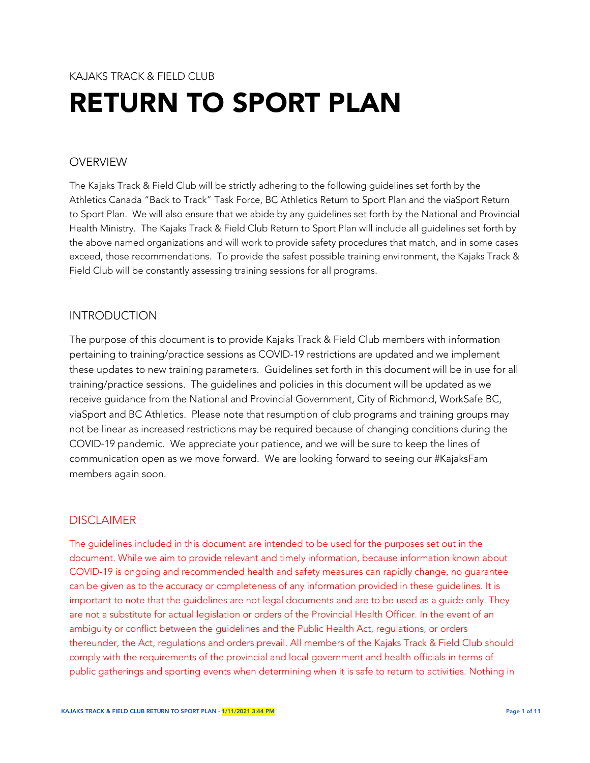# KAJAKS TRACK & FIFLD CLUB RETURN TO SPORT PLAN

# OVERVIEW

The Kajaks Track & Field Club will be strictly adhering to the following guidelines set forth by the Athletics Canada "Back to Track" Task Force, BC Athletics Return to Sport Plan and the viaSport Return to Sport Plan. We will also ensure that we abide by any guidelines set forth by the National and Provincial Health Ministry. The Kajaks Track & Field Club Return to Sport Plan will include all guidelines set forth by the above named organizations and will work to provide safety procedures that match, and in some cases exceed, those recommendations. To provide the safest possible training environment, the Kajaks Track & Field Club will be constantly assessing training sessions for all programs.

#### INTRODUCTION

The purpose of this document is to provide Kajaks Track & Field Club members with information pertaining to training/practice sessions as COVID-19 restrictions are updated and we implement these updates to new training parameters. Guidelines set forth in this document will be in use for all training/practice sessions. The guidelines and policies in this document will be updated as we receive guidance from the National and Provincial Government, City of Richmond, WorkSafe BC, viaSport and BC Athletics. Please note that resumption of club programs and training groups may not be linear as increased restrictions may be required because of changing conditions during the COVID-19 pandemic. We appreciate your patience, and we will be sure to keep the lines of communication open as we move forward. We are looking forward to seeing our #KajaksFam members again soon.

# DISCI AIMER

The guidelines included in this document are intended to be used for the purposes set out in the document. While we aim to provide relevant and timely information, because information known about COVID-19 is ongoing and recommended health and safety measures can rapidly change, no guarantee can be given as to the accuracy or completeness of any information provided in these guidelines. It is important to note that the guidelines are not legal documents and are to be used as a guide only. They are not a substitute for actual legislation or orders of the Provincial Health Officer. In the event of an ambiguity or conflict between the guidelines and the Public Health Act, regulations, or orders thereunder, the Act, regulations and orders prevail. All members of the Kajaks Track & Field Club should comply with the requirements of the provincial and local government and health officials in terms of public gatherings and sporting events when determining when it is safe to return to activities. Nothing in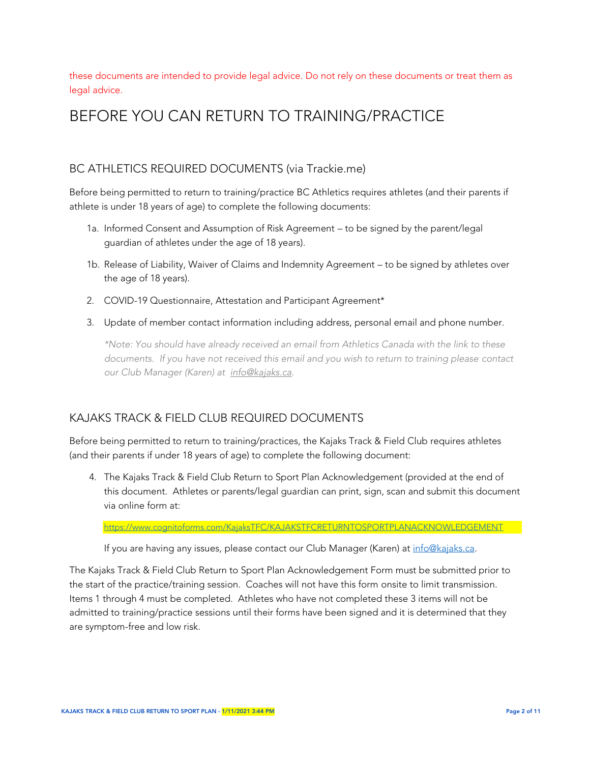these documents are intended to provide legal advice. Do not rely on these documents or treat them as legal advice.

# BEFORE YOU CAN RETURN TO TRAINING/PRACTICE

#### BC ATHLETICS REQUIRED DOCUMENTS (via Trackie.me)

Before being permitted to return to training/practice BC Athletics requires athletes (and their parents if athlete is under 18 years of age) to complete the following documents:

- 1a. Informed Consent and Assumption of Risk Agreement to be signed by the parent/legal guardian of athletes under the age of 18 years).
- 1b. Release of Liability, Waiver of Claims and Indemnity Agreement to be signed by athletes over the age of 18 years).
- 2. COVID-19 Questionnaire, Attestation and Participant Agreement\*
- 3. Update of member contact information including address, personal email and phone number.

*\*Note: You should have already received an email from Athletics Canada with the link to these documents. If you have not received this email and you wish to return to training please contact our Club Manager (Karen) at [info@kajaks.ca.](mailto:info@kajaks.ca)* 

#### KAJAKS TRACK & FIELD CLUB REQUIRED DOCUMENTS

Before being permitted to return to training/practices, the Kajaks Track & Field Club requires athletes (and their parents if under 18 years of age) to complete the following document:

4. The Kajaks Track & Field Club Return to Sport Plan Acknowledgement (provided at the end of this document. Athletes or parents/legal guardian can print, sign, scan and submit this document via online form at:

#### <https://www.cognitoforms.com/KajaksTFC/KAJAKSTFCRETURNTOSPORTPLANACKNOWLEDGEMENT>

If you are having any issues, please contact our Club Manager (Karen) at [info@kajaks.ca.](mailto:info@kajaks.ca)

The Kajaks Track & Field Club Return to Sport Plan Acknowledgement Form must be submitted prior to the start of the practice/training session. Coaches will not have this form onsite to limit transmission. Items 1 through 4 must be completed. Athletes who have not completed these 3 items will not be admitted to training/practice sessions until their forms have been signed and it is determined that they are symptom-free and low risk.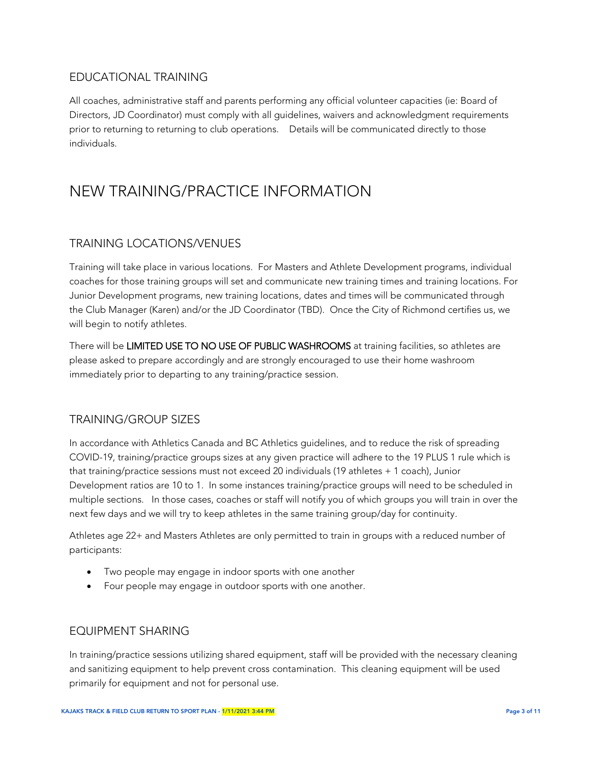#### EDUCATIONAL TRAINING

All coaches, administrative staff and parents performing any official volunteer capacities (ie: Board of Directors, JD Coordinator) must comply with all guidelines, waivers and acknowledgment requirements prior to returning to returning to club operations. Details will be communicated directly to those individuals.

# NEW TRAINING/PRACTICE INFORMATION

# TRAINING LOCATIONS/VENUES

Training will take place in various locations. For Masters and Athlete Development programs, individual coaches for those training groups will set and communicate new training times and training locations. For Junior Development programs, new training locations, dates and times will be communicated through the Club Manager (Karen) and/or the JD Coordinator (TBD). Once the City of Richmond certifies us, we will begin to notify athletes.

There will be LIMITED USE TO NO USE OF PUBLIC WASHROOMS at training facilities, so athletes are please asked to prepare accordingly and are strongly encouraged to use their home washroom immediately prior to departing to any training/practice session.

# TRAINING/GROUP SIZES

In accordance with Athletics Canada and BC Athletics guidelines, and to reduce the risk of spreading COVID-19, training/practice groups sizes at any given practice will adhere to the 19 PLUS 1 rule which is that training/practice sessions must not exceed 20 individuals (19 athletes + 1 coach), Junior Development ratios are 10 to 1. In some instances training/practice groups will need to be scheduled in multiple sections. In those cases, coaches or staff will notify you of which groups you will train in over the next few days and we will try to keep athletes in the same training group/day for continuity.

Athletes age 22+ and Masters Athletes are only permitted to train in groups with a reduced number of participants:

- Two people may engage in indoor sports with one another
- Four people may engage in outdoor sports with one another.

#### EQUIPMENT SHARING

In training/practice sessions utilizing shared equipment, staff will be provided with the necessary cleaning and sanitizing equipment to help prevent cross contamination. This cleaning equipment will be used primarily for equipment and not for personal use.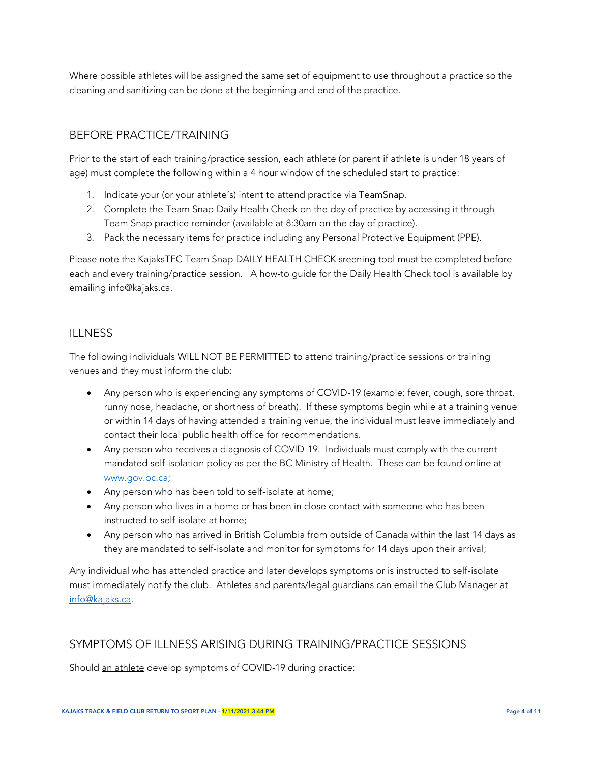Where possible athletes will be assigned the same set of equipment to use throughout a practice so the cleaning and sanitizing can be done at the beginning and end of the practice.

#### BEFORE PRACTICE/TRAINING

Prior to the start of each training/practice session, each athlete (or parent if athlete is under 18 years of age) must complete the following within a 4 hour window of the scheduled start to practice:

- 1. Indicate your (or your athlete's) intent to attend practice via TeamSnap.
- 2. Complete the Team Snap Daily Health Check on the day of practice by accessing it through Team Snap practice reminder (available at 8:30am on the day of practice).
- 3. Pack the necessary items for practice including any Personal Protective Equipment (PPE).

Please note the KajaksTFC Team Snap DAILY HEALTH CHECK sreening tool must be completed before each and every training/practice session. A how-to guide for the Daily Health Check tool is available by emailing info@kajaks.ca.

#### ILLNESS

The following individuals WILL NOT BE PERMITTED to attend training/practice sessions or training venues and they must inform the club:

- Any person who is experiencing any symptoms of COVID-19 (example: fever, cough, sore throat, runny nose, headache, or shortness of breath). If these symptoms begin while at a training venue or within 14 days of having attended a training venue, the individual must leave immediately and contact their local public health office for recommendations.
- Any person who receives a diagnosis of COVID-19. Individuals must comply with the current mandated self-isolation policy as per the BC Ministry of Health. These can be found online at [www.gov.bc.ca;](http://www.gov.bc.ca/)
- Any person who has been told to self-isolate at home;
- Any person who lives in a home or has been in close contact with someone who has been instructed to self-isolate at home;
- Any person who has arrived in British Columbia from outside of Canada within the last 14 days as they are mandated to self-isolate and monitor for symptoms for 14 days upon their arrival;

Any individual who has attended practice and later develops symptoms or is instructed to self-isolate must immediately notify the club. Athletes and parents/legal guardians can email the Club Manager at [info@kajaks.ca.](mailto:info@kajaks.ca)

# SYMPTOMS OF ILLNESS ARISING DURING TRAINING/PRACTICE SESSIONS

Should an athlete develop symptoms of COVID-19 during practice: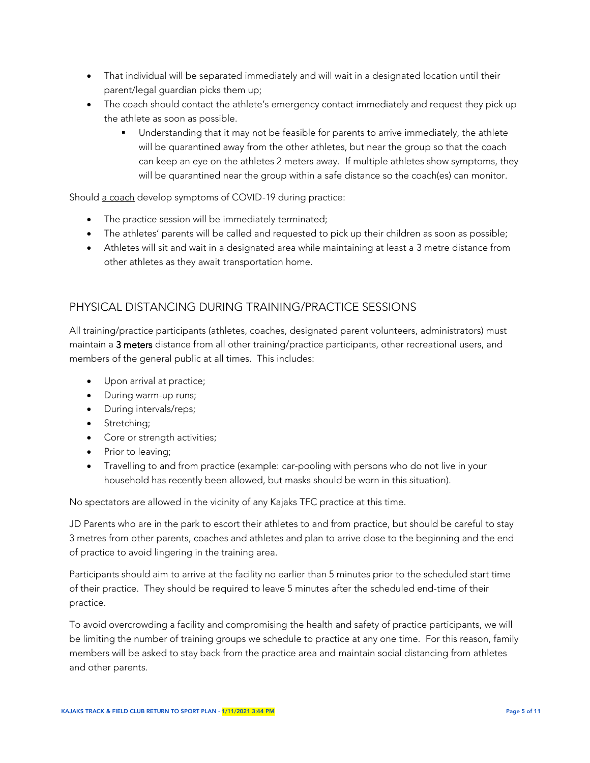- That individual will be separated immediately and will wait in a designated location until their parent/legal guardian picks them up;
- The coach should contact the athlete's emergency contact immediately and request they pick up the athlete as soon as possible.
	- Understanding that it may not be feasible for parents to arrive immediately, the athlete will be quarantined away from the other athletes, but near the group so that the coach can keep an eye on the athletes 2 meters away. If multiple athletes show symptoms, they will be quarantined near the group within a safe distance so the coach(es) can monitor.

Should a coach develop symptoms of COVID-19 during practice:

- The practice session will be immediately terminated;
- The athletes' parents will be called and requested to pick up their children as soon as possible;
- Athletes will sit and wait in a designated area while maintaining at least a 3 metre distance from other athletes as they await transportation home.

# PHYSICAL DISTANCING DURING TRAINING/PRACTICE SESSIONS

All training/practice participants (athletes, coaches, designated parent volunteers, administrators) must maintain a 3 meters distance from all other training/practice participants, other recreational users, and members of the general public at all times. This includes:

- Upon arrival at practice;
- During warm-up runs;
- During intervals/reps;
- Stretching;
- Core or strength activities;
- Prior to leaving;
- Travelling to and from practice (example: car-pooling with persons who do not live in your household has recently been allowed, but masks should be worn in this situation).

No spectators are allowed in the vicinity of any Kajaks TFC practice at this time.

JD Parents who are in the park to escort their athletes to and from practice, but should be careful to stay 3 metres from other parents, coaches and athletes and plan to arrive close to the beginning and the end of practice to avoid lingering in the training area.

Participants should aim to arrive at the facility no earlier than 5 minutes prior to the scheduled start time of their practice. They should be required to leave 5 minutes after the scheduled end-time of their practice.

To avoid overcrowding a facility and compromising the health and safety of practice participants, we will be limiting the number of training groups we schedule to practice at any one time. For this reason, family members will be asked to stay back from the practice area and maintain social distancing from athletes and other parents.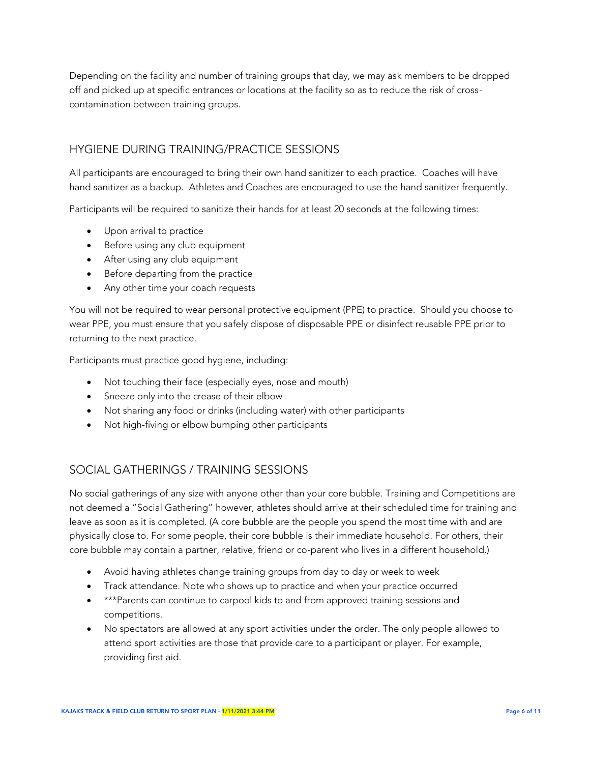Depending on the facility and number of training groups that day, we may ask members to be dropped off and picked up at specific entrances or locations at the facility so as to reduce the risk of crosscontamination between training groups.

#### HYGIENE DURING TRAINING/PRACTICE SESSIONS

All participants are encouraged to bring their own hand sanitizer to each practice. Coaches will have hand sanitizer as a backup. Athletes and Coaches are encouraged to use the hand sanitizer frequently.

Participants will be required to sanitize their hands for at least 20 seconds at the following times:

- Upon arrival to practice
- Before using any club equipment
- After using any club equipment
- Before departing from the practice
- Any other time your coach requests

You will not be required to wear personal protective equipment (PPE) to practice. Should you choose to wear PPE, you must ensure that you safely dispose of disposable PPE or disinfect reusable PPE prior to returning to the next practice.

Participants must practice good hygiene, including:

- Not touching their face (especially eyes, nose and mouth)
- Sneeze only into the crease of their elbow
- Not sharing any food or drinks (including water) with other participants
- Not high-fiving or elbow bumping other participants

#### SOCIAL GATHERINGS / TRAINING SESSIONS

No social gatherings of any size with anyone other than your core bubble. Training and Competitions are not deemed a "Social Gathering" however, athletes should arrive at their scheduled time for training and leave as soon as it is completed. (A core bubble are the people you spend the most time with and are physically close to. For some people, their core bubble is their immediate household. For others, their core bubble may contain a partner, relative, friend or co-parent who lives in a different household.)

- Avoid having athletes change training groups from day to day or week to week
- Track attendance. Note who shows up to practice and when your practice occurred
- \*\*\*Parents can continue to carpool kids to and from approved training sessions and competitions.
- No spectators are allowed at any sport activities under the order. The only people allowed to attend sport activities are those that provide care to a participant or player. For example, providing first aid.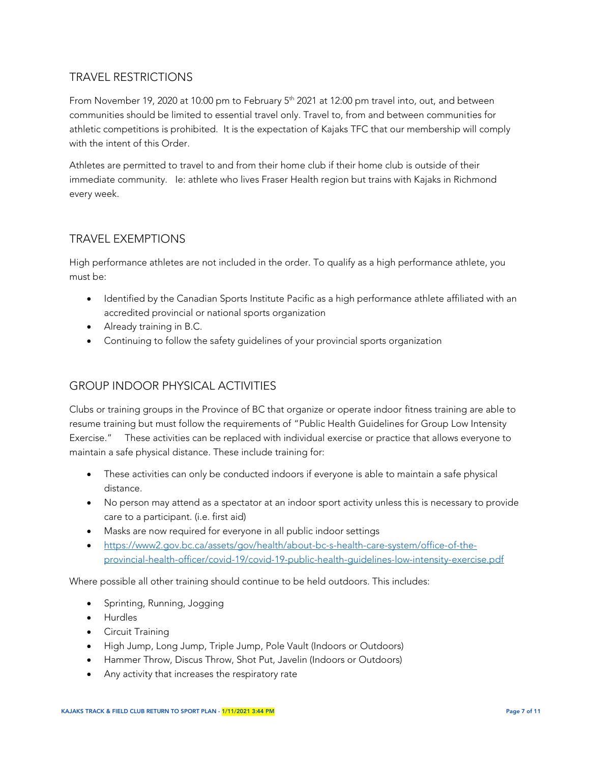# TRAVEL RESTRICTIONS

From November 19, 2020 at 10:00 pm to February 5<sup>th</sup> 2021 at 12:00 pm travel into, out, and between communities should be limited to essential travel only. Travel to, from and between communities for athletic competitions is prohibited. It is the expectation of Kajaks TFC that our membership will comply with the intent of this Order.

Athletes are permitted to travel to and from their home club if their home club is outside of their immediate community. Ie: athlete who lives Fraser Health region but trains with Kajaks in Richmond every week.

# TRAVEL EXEMPTIONS

High performance athletes are not included in the order. To qualify as a high performance athlete, you must be:

- Identified by the Canadian Sports Institute Pacific as a high performance athlete affiliated with an accredited provincial or national sports organization
- Already training in B.C.
- Continuing to follow the safety guidelines of your provincial sports organization

# GROUP INDOOR PHYSICAL ACTIVITIES

Clubs or training groups in the Province of BC that organize or operate indoor fitness training are able to resume training but must follow the requirements of "Public Health Guidelines for Group Low Intensity Exercise." These activities can be replaced with individual exercise or practice that allows everyone to maintain a safe physical distance. These include training for:

- These activities can only be conducted indoors if everyone is able to maintain a safe physical distance.
- No person may attend as a spectator at an indoor sport activity unless this is necessary to provide care to a participant. (i.e. first aid)
- Masks are now required for everyone in all public indoor settings
- [https://www2.gov.bc.ca/assets/gov/health/about-bc-s-health-care-system/office-of-the](https://www2.gov.bc.ca/assets/gov/health/about-bc-s-health-care-system/office-of-the-provincial-health-officer/covid-19/covid-19-public-health-guidelines-low-intensity-exercise.pdf)[provincial-health-officer/covid-19/covid-19-public-health-guidelines-low-intensity-exercise.pdf](https://www2.gov.bc.ca/assets/gov/health/about-bc-s-health-care-system/office-of-the-provincial-health-officer/covid-19/covid-19-public-health-guidelines-low-intensity-exercise.pdf)

Where possible all other training should continue to be held outdoors. This includes:

- Sprinting, Running, Jogging
- Hurdles
- **•** Circuit Training
- High Jump, Long Jump, Triple Jump, Pole Vault (Indoors or Outdoors)
- Hammer Throw, Discus Throw, Shot Put, Javelin (Indoors or Outdoors)
- Any activity that increases the respiratory rate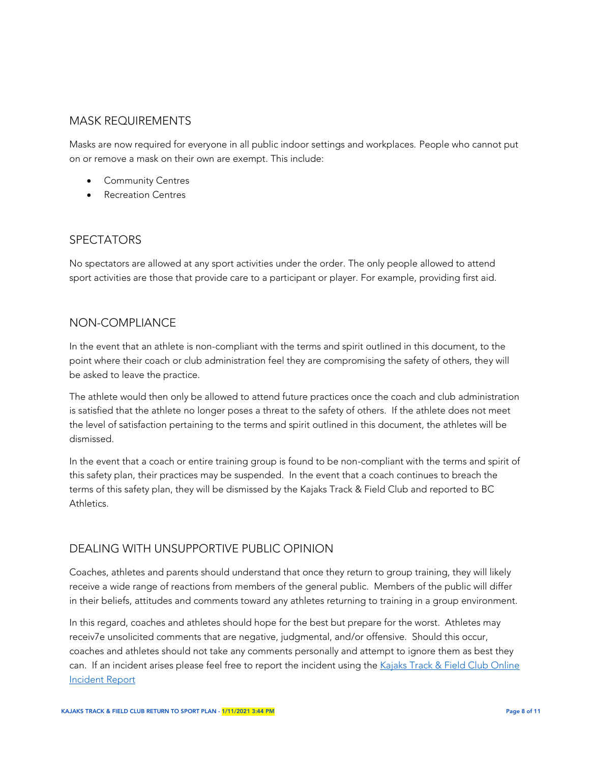#### MASK REQUIREMENTS

Masks are now required for everyone in all public indoor settings and workplaces. People who cannot put on or remove a mask on their own are exempt. This include:

- **•** Community Centres
- Recreation Centres

#### SPECTATORS

No spectators are allowed at any sport activities under the order. The only people allowed to attend sport activities are those that provide care to a participant or player. For example, providing first aid.

#### NON-COMPLIANCE

In the event that an athlete is non-compliant with the terms and spirit outlined in this document, to the point where their coach or club administration feel they are compromising the safety of others, they will be asked to leave the practice.

The athlete would then only be allowed to attend future practices once the coach and club administration is satisfied that the athlete no longer poses a threat to the safety of others. If the athlete does not meet the level of satisfaction pertaining to the terms and spirit outlined in this document, the athletes will be dismissed.

In the event that a coach or entire training group is found to be non-compliant with the terms and spirit of this safety plan, their practices may be suspended. In the event that a coach continues to breach the terms of this safety plan, they will be dismissed by the Kajaks Track & Field Club and reported to BC Athletics.

#### DEALING WITH UNSUPPORTIVE PUBLIC OPINION

Coaches, athletes and parents should understand that once they return to group training, they will likely receive a wide range of reactions from members of the general public. Members of the public will differ in their beliefs, attitudes and comments toward any athletes returning to training in a group environment.

In this regard, coaches and athletes should hope for the best but prepare for the worst. Athletes may receiv7e unsolicited comments that are negative, judgmental, and/or offensive. Should this occur, coaches and athletes should not take any comments personally and attempt to ignore them as best they can. If an incident arises please feel free to report the incident using the Kajaks Track & Field Club Online [Incident Report](https://www.cognitoforms.com/KajaksTFC/ONLINEINCIDENTREPORT)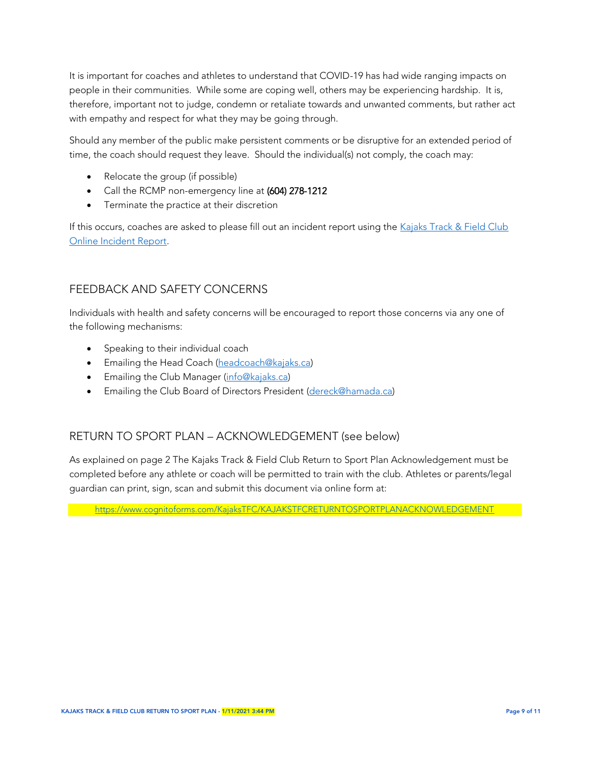It is important for coaches and athletes to understand that COVID-19 has had wide ranging impacts on people in their communities. While some are coping well, others may be experiencing hardship. It is, therefore, important not to judge, condemn or retaliate towards and unwanted comments, but rather act with empathy and respect for what they may be going through.

Should any member of the public make persistent comments or be disruptive for an extended period of time, the coach should request they leave. Should the individual(s) not comply, the coach may:

- Relocate the group (if possible)
- Call the RCMP non-emergency line at (604) 278-1212
- **•** Terminate the practice at their discretion

If this occurs, coaches are asked to please fill out an incident report using the Kajaks Track & Field Club [Online Incident Report.](https://www.cognitoforms.com/KajaksTFC/ONLINEINCIDENTREPORT)

#### FEEDBACK AND SAFETY CONCERNS

Individuals with health and safety concerns will be encouraged to report those concerns via any one of the following mechanisms:

- Speaking to their individual coach
- **Emailing the Head Coach [\(headcoach@kajaks.ca\)](mailto:headcoach@kajaks.ca)**
- **Emailing the Club Manager [\(info@kajaks.ca\)](mailto:info@kajaks.ca)**
- Emailing the Club Board of Directors President [\(dereck@hamada.ca\)](mailto:dereck@hamada.ca)

# RETURN TO SPORT PLAN – ACKNOWLEDGEMENT (see below)

As explained on page 2 The Kajaks Track & Field Club Return to Sport Plan Acknowledgement must be completed before any athlete or coach will be permitted to train with the club. Athletes or parents/legal guardian can print, sign, scan and submit this document via online form at:

<https://www.cognitoforms.com/KajaksTFC/KAJAKSTFCRETURNTOSPORTPLANACKNOWLEDGEMENT>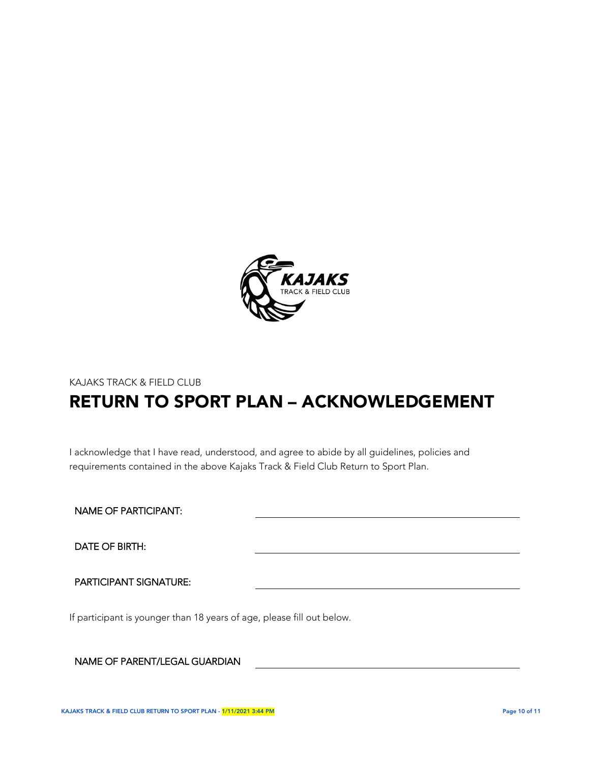

# KAJAKS TRACK & FIELD CLUB RETURN TO SPORT PLAN – ACKNOWLEDGEMENT

I acknowledge that I have read, understood, and agree to abide by all guidelines, policies and requirements contained in the above Kajaks Track & Field Club Return to Sport Plan.

NAME OF PARTICIPANT:

DATE OF BIRTH:

PARTICIPANT SIGNATURE:

If participant is younger than 18 years of age, please fill out below.

NAME OF PARENT/LEGAL GUARDIAN